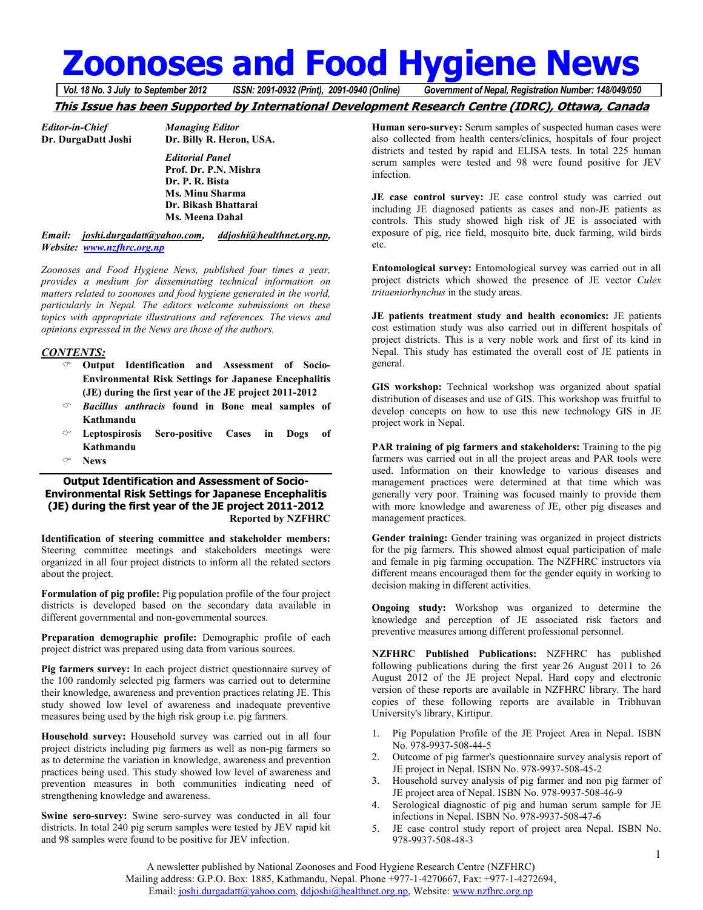# **Zoonoses and Food Hygiene News**<br>Vol. 18 No. 3 July to September 2012 **ISSN: 2091-0932 (Print), 2091-0940 (Online)** Government of Nepal, Registration Number: 148/049/050

*Vol. 18 No. 3 July to September 2012 ISSN: 2091-0932 (Print), 2091-0940 (Online) Government of Nepal, Registration Number: 148/049/050*

# **This Issue has been Supported by International Development Research Centre (IDRC), Ottawa, Canada**

*Editor-in-Chief Managing Editor* 

**Dr. Billy R. Heron, USA.**  *Editorial Panel*   **Prof. Dr. P.N. Mishra Dr. P. R. Bista Ms. Minu Sharma Dr. Bikash Bhattarai Ms. Meena Dahal** 

# *Email: joshi.durgadatt@yahoo.com, ddjoshi@healthnet.org.np, Website: www.nzfhrc.org.np*

*Zoonoses and Food Hygiene News, published four times a year, provides a medium for disseminating technical information on matters related to zoonoses and food hygiene generated in the world, particularly in Nepal. The editors welcome submissions on these topics with appropriate illustrations and references. The views and opinions expressed in the News are those of the authors.* 

# *CONTENTS:*

- **Output Identification and Assessment of Socio-Environmental Risk Settings for Japanese Encephalitis (JE) during the first year of the JE project 2011-2012**
- *Bacillus anthracis* **found in Bone meal samples of Kathmandu**
- **Leptospirosis Sero-positive Cases in Dogs of Kathmandu**
- **News**

#### **Output Identification and Assessment of Socio-Environmental Risk Settings for Japanese Encephalitis (JE) during the first year of the JE project 2011-2012 Reported by NZFHRC**

**Identification of steering committee and stakeholder members:**  Steering committee meetings and stakeholders meetings were organized in all four project districts to inform all the related sectors about the project.

**Formulation of pig profile:** Pig population profile of the four project districts is developed based on the secondary data available in different governmental and non-governmental sources.

**Preparation demographic profile:** Demographic profile of each project district was prepared using data from various sources.

**Pig farmers survey:** In each project district questionnaire survey of the 100 randomly selected pig farmers was carried out to determine their knowledge, awareness and prevention practices relating JE. This study showed low level of awareness and inadequate preventive measures being used by the high risk group i.e. pig farmers.

**Household survey:** Household survey was carried out in all four project districts including pig farmers as well as non-pig farmers so as to determine the variation in knowledge, awareness and prevention practices being used. This study showed low level of awareness and prevention measures in both communities indicating need of strengthening knowledge and awareness.

**Swine sero-survey:** Swine sero-survey was conducted in all four districts. In total 240 pig serum samples were tested by JEV rapid kit and 98 samples were found to be positive for JEV infection.

**Human sero-survey:** Serum samples of suspected human cases were also collected from health centers/clinics, hospitals of four project districts and tested by rapid and ELISA tests. In total 225 human serum samples were tested and 98 were found positive for JEV infection.

**JE case control survey:** JE case control study was carried out including JE diagnosed patients as cases and non-JE patients as controls. This study showed high risk of JE is associated with exposure of pig, rice field, mosquito bite, duck farming, wild birds etc.

**Entomological survey:** Entomological survey was carried out in all project districts which showed the presence of JE vector *Culex tritaeniorhynchus* in the study areas.

**JE patients treatment study and health economics:** JE patients cost estimation study was also carried out in different hospitals of project districts. This is a very noble work and first of its kind in Nepal. This study has estimated the overall cost of JE patients in general.

**GIS workshop:** Technical workshop was organized about spatial distribution of diseases and use of GIS. This workshop was fruitful to develop concepts on how to use this new technology GIS in JE project work in Nepal.

**PAR training of pig farmers and stakeholders:** Training to the pig farmers was carried out in all the project areas and PAR tools were used. Information on their knowledge to various diseases and management practices were determined at that time which was generally very poor. Training was focused mainly to provide them with more knowledge and awareness of JE, other pig diseases and management practices.

**Gender training:** Gender training was organized in project districts for the pig farmers. This showed almost equal participation of male and female in pig farming occupation. The NZFHRC instructors via different means encouraged them for the gender equity in working to decision making in different activities.

**Ongoing study:** Workshop was organized to determine the knowledge and perception of JE associated risk factors and preventive measures among different professional personnel.

**NZFHRC Published Publications:** NZFHRC has published following publications during the first year 26 August 2011 to 26 August 2012 of the JE project Nepal. Hard copy and electronic version of these reports are available in NZFHRC library. The hard copies of these following reports are available in Tribhuvan University's library, Kirtipur.

- 1. Pig Population Profile of the JE Project Area in Nepal. ISBN No. 978-9937-508-44-5
- 2. Outcome of pig farmer's questionnaire survey analysis report of JE project in Nepal. ISBN No. 978-9937-508-45-2
- 3. Household survey analysis of pig farmer and non pig farmer of JE project area of Nepal. ISBN No. 978-9937-508-46-9
- 4. Serological diagnostic of pig and human serum sample for JE infections in Nepal. ISBN No. 978-9937-508-47-6
- 5. JE case control study report of project area Nepal. ISBN No. 978-9937-508-48-3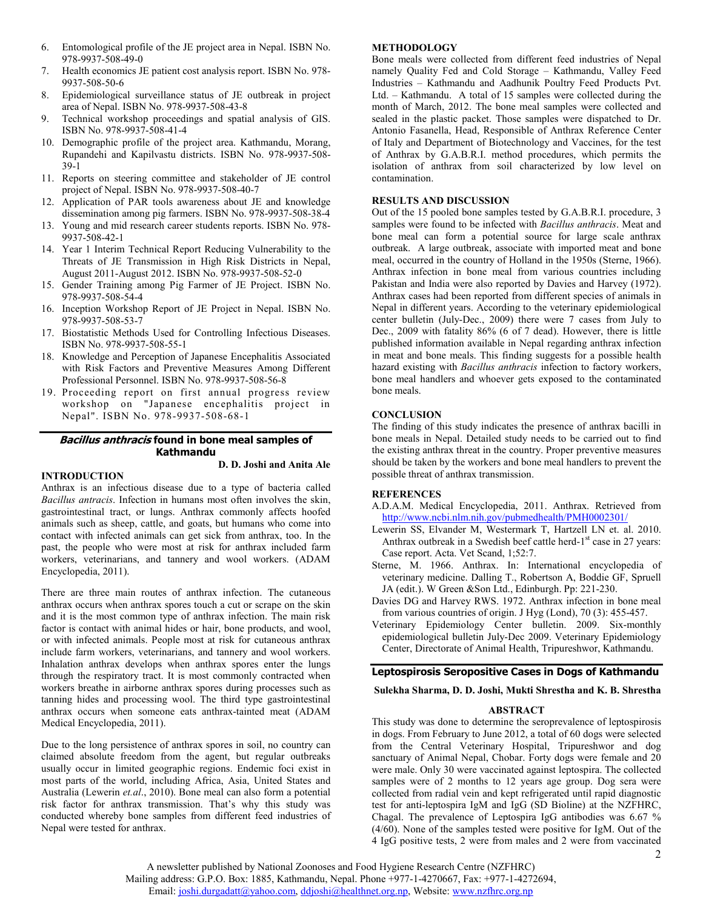- 6. Entomological profile of the JE project area in Nepal. ISBN No. 978-9937-508-49-0
- 7. Health economics JE patient cost analysis report. ISBN No. 978- 9937-508-50-6
- 8. Epidemiological surveillance status of JE outbreak in project area of Nepal. ISBN No. 978-9937-508-43-8
- 9. Technical workshop proceedings and spatial analysis of GIS. ISBN No. 978-9937-508-41-4
- 10. Demographic profile of the project area. Kathmandu, Morang, Rupandehi and Kapilvastu districts. ISBN No. 978-9937-508- 39-1
- 11. Reports on steering committee and stakeholder of JE control project of Nepal. ISBN No. 978-9937-508-40-7
- 12. Application of PAR tools awareness about JE and knowledge dissemination among pig farmers. ISBN No. 978-9937-508-38-4
- 13. Young and mid research career students reports. ISBN No. 978- 9937-508-42-1
- 14. Year 1 Interim Technical Report Reducing Vulnerability to the Threats of JE Transmission in High Risk Districts in Nepal, August 2011-August 2012. ISBN No. 978-9937-508-52-0
- 15. Gender Training among Pig Farmer of JE Project. ISBN No. 978-9937-508-54-4
- 16. Inception Workshop Report of JE Project in Nepal. ISBN No. 978-9937-508-53-7
- 17. Biostatistic Methods Used for Controlling Infectious Diseases. ISBN No. 978-9937-508-55-1
- 18. Knowledge and Perception of Japanese Encephalitis Associated with Risk Factors and Preventive Measures Among Different Professional Personnel. ISBN No. 978-9937-508-56-8
- 19. Proceeding report on first annual progress review workshop on "Japanese encephalitis project in Nepal". ISBN No. 978-9937-508-68-1

# **Bacillus anthracis found in bone meal samples of Kathmandu**

# **D. D. Joshi and Anita Ale**

# **INTRODUCTION**

Anthrax is an infectious disease due to a type of bacteria called *Bacillus antracis*. Infection in humans most often involves the skin, gastrointestinal tract, or lungs. Anthrax commonly affects hoofed animals such as sheep, cattle, and goats, but humans who come into contact with infected animals can get sick from anthrax, too. In the past, the people who were most at risk for anthrax included farm workers, veterinarians, and tannery and wool workers. (ADAM Encyclopedia, 2011).

There are three main routes of anthrax infection. The cutaneous anthrax occurs when anthrax spores touch a cut or scrape on the skin and it is the most common type of anthrax infection. The main risk factor is contact with animal hides or hair, bone products, and wool, or with infected animals. People most at risk for cutaneous anthrax include farm workers, veterinarians, and tannery and wool workers. Inhalation anthrax develops when anthrax spores enter the lungs through the respiratory tract. It is most commonly contracted when workers breathe in airborne anthrax spores during processes such as tanning hides and processing wool. The third type gastrointestinal anthrax occurs when someone eats anthrax-tainted meat (ADAM Medical Encyclopedia, 2011).

Due to the long persistence of anthrax spores in soil, no country can claimed absolute freedom from the agent, but regular outbreaks usually occur in limited geographic regions. Endemic foci exist in most parts of the world, including Africa, Asia, United States and Australia (Lewerin *et.al*., 2010). Bone meal can also form a potential risk factor for anthrax transmission. That's why this study was conducted whereby bone samples from different feed industries of Nepal were tested for anthrax.

#### **METHODOLOGY**

Bone meals were collected from different feed industries of Nepal namely Quality Fed and Cold Storage – Kathmandu, Valley Feed Industries – Kathmandu and Aadhunik Poultry Feed Products Pvt. Ltd. – Kathmandu. A total of 15 samples were collected during the month of March, 2012. The bone meal samples were collected and sealed in the plastic packet. Those samples were dispatched to Dr. Antonio Fasanella, Head, Responsible of Anthrax Reference Center of Italy and Department of Biotechnology and Vaccines, for the test of Anthrax by G.A.B.R.I. method procedures, which permits the isolation of anthrax from soil characterized by low level on contamination.

#### **RESULTS AND DISCUSSION**

Out of the 15 pooled bone samples tested by G.A.B.R.I. procedure, 3 samples were found to be infected with *Bacillus anthracis*. Meat and bone meal can form a potential source for large scale anthrax outbreak. A large outbreak, associate with imported meat and bone meal, occurred in the country of Holland in the 1950s (Sterne, 1966). Anthrax infection in bone meal from various countries including Pakistan and India were also reported by Davies and Harvey (1972). Anthrax cases had been reported from different species of animals in Nepal in different years. According to the veterinary epidemiological center bulletin (July-Dec., 2009) there were 7 cases from July to Dec., 2009 with fatality 86% (6 of 7 dead). However, there is little published information available in Nepal regarding anthrax infection in meat and bone meals. This finding suggests for a possible health hazard existing with *Bacillus anthracis* infection to factory workers, bone meal handlers and whoever gets exposed to the contaminated bone meals.

# **CONCLUSION**

The finding of this study indicates the presence of anthrax bacilli in bone meals in Nepal. Detailed study needs to be carried out to find the existing anthrax threat in the country. Proper preventive measures should be taken by the workers and bone meal handlers to prevent the possible threat of anthrax transmission.

# **REFERENCES**

- A.D.A.M. Medical Encyclopedia, 2011. Anthrax. Retrieved from http://www.ncbi.nlm.nih.gov/pubmedhealth/PMH0002301/
- Lewerin SS, Elvander M, Westermark T, Hartzell LN et. al. 2010. Anthrax outbreak in a Swedish beef cattle herd- $1<sup>st</sup>$  case in 27 years: Case report. Acta. Vet Scand, 1;52:7.
- Sterne, M. 1966. Anthrax. In: International encyclopedia of veterinary medicine. Dalling T., Robertson A, Boddie GF, Spruell JA (edit.). W Green &Son Ltd., Edinburgh. Pp: 221-230.
- Davies DG and Harvey RWS. 1972. Anthrax infection in bone meal from various countries of origin. J Hyg (Lond), 70 (3): 455-457.
- Veterinary Epidemiology Center bulletin. 2009. Six-monthly epidemiological bulletin July-Dec 2009. Veterinary Epidemiology Center, Directorate of Animal Health, Tripureshwor, Kathmandu.

# **Leptospirosis Seropositive Cases in Dogs of Kathmandu**

#### **Sulekha Sharma, D. D. Joshi, Mukti Shrestha and K. B. Shrestha**

#### **ABSTRACT**

This study was done to determine the seroprevalence of leptospirosis in dogs. From February to June 2012, a total of 60 dogs were selected from the Central Veterinary Hospital, Tripureshwor and dog sanctuary of Animal Nepal, Chobar. Forty dogs were female and 20 were male. Only 30 were vaccinated against leptospira. The collected samples were of 2 months to 12 years age group. Dog sera were collected from radial vein and kept refrigerated until rapid diagnostic test for anti-leptospira IgM and IgG (SD Bioline) at the NZFHRC, Chagal. The prevalence of Leptospira IgG antibodies was 6.67 % (4/60). None of the samples tested were positive for IgM. Out of the 4 IgG positive tests, 2 were from males and 2 were from vaccinated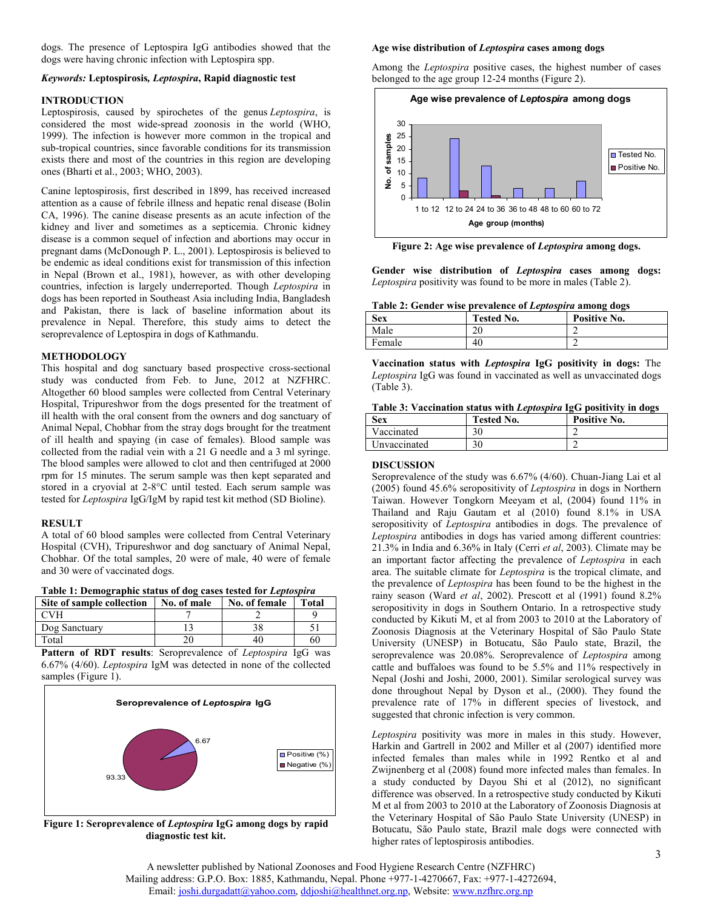dogs. The presence of Leptospira IgG antibodies showed that the dogs were having chronic infection with Leptospira spp.

#### *Keywords:* **Leptospirosis***, Leptospira***, Rapid diagnostic test**

#### **INTRODUCTION**

Leptospirosis, caused by spirochetes of the genus *Leptospira*, is considered the most wide-spread zoonosis in the world (WHO, 1999). The infection is however more common in the tropical and sub-tropical countries, since favorable conditions for its transmission exists there and most of the countries in this region are developing ones (Bharti et al., 2003; WHO, 2003).

Canine leptospirosis, first described in 1899, has received increased attention as a cause of febrile illness and hepatic renal disease (Bolin CA, 1996). The canine disease presents as an acute infection of the kidney and liver and sometimes as a septicemia. Chronic kidney disease is a common sequel of infection and abortions may occur in pregnant dams (McDonough P. L., 2001). Leptospirosis is believed to be endemic as ideal conditions exist for transmission of this infection in Nepal (Brown et al., 1981), however, as with other developing countries, infection is largely underreported. Though *Leptospira* in dogs has been reported in Southeast Asia including India, Bangladesh and Pakistan, there is lack of baseline information about its prevalence in Nepal. Therefore, this study aims to detect the seroprevalence of Leptospira in dogs of Kathmandu.

#### **METHODOLOGY**

This hospital and dog sanctuary based prospective cross-sectional study was conducted from Feb. to June, 2012 at NZFHRC. Altogether 60 blood samples were collected from Central Veterinary Hospital, Tripureshwor from the dogs presented for the treatment of ill health with the oral consent from the owners and dog sanctuary of Animal Nepal, Chobhar from the stray dogs brought for the treatment of ill health and spaying (in case of females). Blood sample was collected from the radial vein with a 21 G needle and a 3 ml syringe. The blood samples were allowed to clot and then centrifuged at 2000 rpm for 15 minutes. The serum sample was then kept separated and stored in a cryovial at 2-8°C until tested. Each serum sample was tested for *Leptospira* IgG/IgM by rapid test kit method (SD Bioline).

#### **RESULT**

A total of 60 blood samples were collected from Central Veterinary Hospital (CVH), Tripureshwor and dog sanctuary of Animal Nepal, Chobhar. Of the total samples, 20 were of male, 40 were of female and 30 were of vaccinated dogs.

|  | Table 1: Demographic status of dog cases tested for Leptospira |  |  |
|--|----------------------------------------------------------------|--|--|
|  |                                                                |  |  |

| Site of sample collection | No. of male | No. of female | <b>Total</b> |
|---------------------------|-------------|---------------|--------------|
| CVH                       |             |               |              |
| Dog Sanctuary             |             |               |              |
| Total                     |             |               | 60           |

**Pattern of RDT results**: Seroprevalence of *Leptospira* IgG was 6.67% (4/60). *Leptospira* IgM was detected in none of the collected samples (Figure 1).



**Figure 1: Seroprevalence of** *Leptospira* **IgG among dogs by rapid diagnostic test kit.** 

#### **Age wise distribution of** *Leptospira* **cases among dogs**

Among the *Leptospira* positive cases, the highest number of cases belonged to the age group 12-24 months (Figure 2).



**Figure 2: Age wise prevalence of** *Leptospira* **among dogs.** 

**Gender wise distribution of** *Leptospira* **cases among dogs:**  *Leptospira* positivity was found to be more in males (Table 2).

| Table 2: Gender wise prevalence of Leptospira among dogs |
|----------------------------------------------------------|
|----------------------------------------------------------|

| <b>Sex</b> | <b>Tested No.</b> | Positive No. |
|------------|-------------------|--------------|
| Male       | $\Omega$<br>۷U    |              |
| Female     | 40                |              |

**Vaccination status with** *Leptospira* **IgG positivity in dogs:** The *Leptospira* IgG was found in vaccinated as well as unvaccinated dogs (Table 3).

| Table 3: Vaccination status with Leptospira IgG positivity in dogs |  |  |  |  |  |  |  |
|--------------------------------------------------------------------|--|--|--|--|--|--|--|
|--------------------------------------------------------------------|--|--|--|--|--|--|--|

| Sex.         | <b>Tested No.</b> | Positive No. |
|--------------|-------------------|--------------|
| Vaccinated   | 30                |              |
| Unvaccinated | 30                |              |

#### **DISCUSSION**

Seroprevalence of the study was 6.67% (4/60). Chuan-Jiang Lai et al (2005) found 45.6% seropositivity of *Leptospira* in dogs in Northern Taiwan. However Tongkorn Meeyam et al, (2004) found 11% in Thailand and Raju Gautam et al (2010) found 8.1% in USA seropositivity of *Leptospira* antibodies in dogs. The prevalence of *Leptospira* antibodies in dogs has varied among different countries: 21.3% in India and 6.36% in Italy (Cerri *et al*, 2003). Climate may be an important factor affecting the prevalence of *Leptospira* in each area. The suitable climate for *Leptospira* is the tropical climate, and the prevalence of *Leptospira* has been found to be the highest in the rainy season (Ward *et al*, 2002). Prescott et al (1991) found 8.2% seropositivity in dogs in Southern Ontario. In a retrospective study conducted by Kikuti M, et al from 2003 to 2010 at the Laboratory of Zoonosis Diagnosis at the Veterinary Hospital of São Paulo State University (UNESP) in Botucatu, São Paulo state, Brazil, the seroprevalence was 20.08%. Seroprevalence of *Leptospira* among cattle and buffaloes was found to be 5.5% and 11% respectively in Nepal (Joshi and Joshi, 2000, 2001). Similar serological survey was done throughout Nepal by Dyson et al., (2000). They found the prevalence rate of 17% in different species of livestock, and suggested that chronic infection is very common.

*Leptospira* positivity was more in males in this study. However, Harkin and Gartrell in 2002 and Miller et al (2007) identified more infected females than males while in 1992 Rentko et al and Zwijnenberg et al (2008) found more infected males than females. In a study conducted by Dayou Shi et al (2012), no significant difference was observed. In a retrospective study conducted by Kikuti M et al from 2003 to 2010 at the Laboratory of Zoonosis Diagnosis at the Veterinary Hospital of São Paulo State University (UNESP) in Botucatu, São Paulo state, Brazil male dogs were connected with higher rates of leptospirosis antibodies.

A newsletter published by National Zoonoses and Food Hygiene Research Centre (NZFHRC) Mailing address: G.P.O. Box: 1885, Kathmandu, Nepal. Phone +977-1-4270667, Fax: +977-1-4272694, Email: joshi.durgadatt@yahoo.com, ddjoshi@healthnet.org.np, Website: www.nzfhrc.org.np